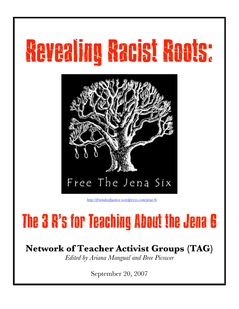# Revealing Racist Roots:



*http://friendsofjustice.wordpress.com/jena-6/*

## The 3 R's for Teaching About the Jena 6

### **Network of Teacher Activist Groups (TAG)**

*Edited by Ariana Mangual and Bree Picower*

September 20, 2007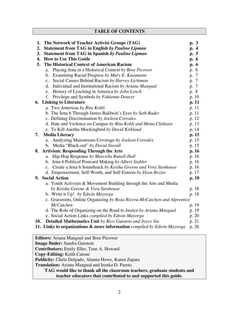**TABLE OF CONTENTS**

| 1.                                                  | The Network of Teacher Activist Groups (TAG)                                       | p. 3  |
|-----------------------------------------------------|------------------------------------------------------------------------------------|-------|
| 2.                                                  | <b>Statement from TAG in English by Pauline Lipman</b>                             | p. 4  |
| 3.                                                  | <b>Statement from TAG in Spanish by Pauline Lipman</b>                             | p. 5  |
| 4.                                                  | <b>How to Use This Guide</b>                                                       | p. 6  |
| 5.                                                  | The Historical Context of American Racism                                          | p. 6  |
|                                                     | Placing Jena in a Historical Context by Bree Picower<br>a.                         | p. 6  |
|                                                     | Examining Racial Progress by Mary E. Kussmann<br>b.                                | p. 7  |
|                                                     | c. Social Causes Behind Racism by Harvey Lichtman                                  | p. 7  |
|                                                     | Individual and Institutional Racism by Ariana Mangual<br>d.                        | p. 7  |
|                                                     | History of Lynching in America by John Lynch<br>e.                                 | p. 8  |
|                                                     | Privilege and Symbols by Fabienne Doucet<br>f.                                     | p. 10 |
|                                                     | <b>6. Linking to Literature</b>                                                    | p. 11 |
|                                                     | a. Two Americas by Rita Kohli                                                      | p. 11 |
|                                                     | b. The Jena 6 Through James Baldwin's Eyes by Seth Rader                           | p. 11 |
|                                                     | c. Defining Discrimination by Joeleen Corrales                                     | p. 12 |
|                                                     | d. Hate and Violence on Campus by Rita Kohli and Mona Chitkara                     | p. 13 |
|                                                     | e. To Kill Anotha Mockingbird by David Kirkland                                    | p. 14 |
| 7.                                                  | <b>Media Literacy</b>                                                              | p. 15 |
|                                                     | Analyzing Mainstream Coverage by Joeleen Corrales<br>a.                            | p. 15 |
|                                                     | b. Media "Black-out" by David Stovall                                              | p. 15 |
|                                                     | 8. Artivism: Responding Through the Arts                                           | p.16  |
|                                                     | Hip-Hop Response by Marcella Runell-Hall<br>a.                                     | p. 16 |
|                                                     | b. Jena 6 Political Postcard Making by Albert Stabler                              | p. 16 |
|                                                     | c. Create a Jena 6 Soundtrack by Keisha Greene and Vera Stenhouse                  | p. 16 |
|                                                     | d. Empowerment, Self-Worth, and Self-Esteem by Dyon Rozier                         | p. 17 |
|                                                     | 9. Social Action                                                                   | p. 18 |
|                                                     | a. Youth Activism & Movement Building through the Arts and Media                   |       |
|                                                     | by Keisha Greene & Vera Stenhouse                                                  | p. 18 |
|                                                     | b. Write it Up! by Edwin Mayorga                                                   | p. 18 |
|                                                     | c. Grassroots, Online Organizing by Rosa Rivera-McCutchen and Alprentice           |       |
|                                                     | <b>McCutchen</b>                                                                   | p. 19 |
|                                                     | d. The Role of Organizing on the Road to Justice by Ariana Mangual                 | p. 19 |
|                                                     | e. Social Action Links compiled by Edwin Mayorga                                   | p. 20 |
| 10.                                                 | <b>Detailed Mathematics Unit by Rico Gutstein and Joyce Sia</b>                    | p. 21 |
|                                                     | <b>11. Links to organizations &amp; more information</b> compiled by Edwin Mayorga | p. 26 |
|                                                     |                                                                                    |       |
| <b>Editors:</b> Ariana Mangual and Bree Picower     |                                                                                    |       |
| Image finder: Sandra Gutstein                       |                                                                                    |       |
| <b>Contributors:</b> Emily Eller, Tene A. Howard    |                                                                                    |       |
| <b>Copy-Editing: Keith Catone</b>                   |                                                                                    |       |
| Publicity: Chela Delgado, Alanna Howe, Karen Zapata |                                                                                    |       |

**Translation:** Ariana Mangual and Irenka D. Pareto

**TAG would like to thank all the classroom teachers, graduate students and teacher educators that contributed to and supported this guide.**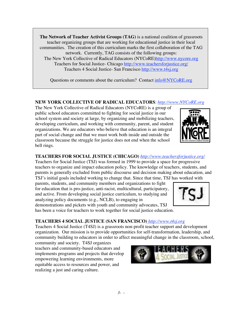**The Network of Teacher Activist Groups (TAG)** is a national coalition of grassroots teacher organizing groups that are working for educational justice in their local communities. The creation of this curriculum marks the first collaboration of the TAG network. Currently, TAG consists of the following groups: The New York Collective of Radical Educators (NYCoRE)http://www.nycore.org Teachers for Social Justice- Chicago http://www.teachersforjustice.org/ Teachers 4 Social Justice- San Francisco http://www.t4sj.org

Questions or comments about the curriculum? Contact info@NYCoRE.org

#### **NEW YORK COLLECTIVE OF RADICAL EDUCATORS**: *http://www.NYCoRE.org*

The New York Collective of Radical Educators (NYCoRE) is a group of public school educators committed to fighting for social justice in our school system and society at large, by organizing and mobilizing teachers, developing curriculum, and working with community, parent, and student organizations. We are educators who believe that education is an integral part of social change and that we must work both inside and outside the classroom because the struggle for justice does not end when the school bell rings.

#### **TEACHERS FOR SOCIAL JUSTICE (CHICAGO)** *http://www.teachersforjustice.org/*

Teachers for Social Justice (TSJ) was formed in 1999 to provide a space for progressive teachers to organize and impact education policy. The knowledge of teachers, students, and parents is generally excluded from public discourse and decision making about education, and TSJ's initial goals included working to change that. Since that time, TSJ has worked with

parents, students, and community members and organizations to fight for education that is pro-justice, anti-racist, multicultural, participatory, and active. From developing social justice curriculum, to studying and analyzing policy documents (e.g., NCLB), to engaging in demonstrations and pickets with youth and community advocates, TSJ

has been a voice for teachers to work together for social justice education.

#### **TEACHERS 4 SOCIAL JUSTICE (SAN FRANCISCO)** *http://www.t4sj.org*

Teachers 4 Social Justice (T4SJ) is a grassroots non-profit teacher support and development organization. Our mission is to provide opportunities for self-transformation, leadership, and community building to educators in order to affect meaningful change in the classroom, school,

community and society. T4SJ organizes teachers and community-based educators and implements programs and projects that develop empowering learning environments, more equitable access to resources and power, and realizing a just and caring culture.





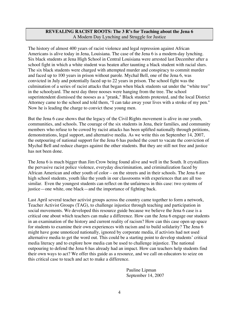#### **REVEALING RACIST ROOTS: The 3 R's for Teaching about the Jena 6** A Modern Day Lynching and Struggle for Justice

The history of almost 400 years of racist violence and legal repression against African Americans is alive today in Jena, Louisiana. The case of the Jena 6 is a modern-day lynching. Six black students at Jena High School in Central Louisiana were arrested last December after a school fight in which a white student was beaten after taunting a black student with racial slurs. The six black students were charged with attempted murder and conspiracy to commit murder and faced up to 100 years in prison without parole. Mychal Bell, one of the Jena 6, was convicted in July and potentially faced up to 22 years in prison. The school fight was the culmination of a series of racist attacks that began when black students sat under the "white tree" in the schoolyard. The next day three nooses were hanging from the tree. The school superintendent dismissed the nooses as a "prank," Black students protested, and the local District Attorney came to the school and told them, "I can take away your lives with a stroke of my pen." Now he is leading the charge to convict these young men.

But the Jena 6 case shows that the legacy of the Civil Rights movement is alive in our youth, communities, and schools. The courage of the six students in Jena, their families, and community members who refuse to be cowed by racist attacks has been uplifted nationally through petitions, demonstrations, legal support, and alternative media. As we write this on September 14, 2007, the outpouring of national support for the Jena 6 has pushed the court to vacate the conviction of Mychal Bell and reduce charges against the other students. But they are still not free and justice has not been done.

The Jena 6 is much bigger than Jim Crow being found alive and well in the South. It crystallizes the pervasive racist police violence, everyday discrimination, and criminalization faced by African American and other youth of color – on the streets and in their schools. The Jena 6 are high school students, youth like the youth in our classrooms with experiences that are all too similar. Even the youngest students can reflect on the unfairness in this case: two systems of justice—one white, one black—and the importance of fighting back.

Last April several teacher activist groups across the country came together to form a network, Teacher Activist Groups (TAG), to challenge injustice through teaching and participation in social movements. We developed this resource guide because we believe the Jena 6 case is a critical one about which teachers can make a difference. How can the Jena 6 engage our students in an examination of the history and current reality of racism? How can this case open up space for students to examine their own experiences with racism and to build solidarity? The Jena 6 might have gone unnoticed nationally, ignored by corporate media, if activists had not used alternative media to get the word out. This could be a starting point to develop students' critical media literacy and to explore how media can be used to challenge injustice. The national outpouring to defend the Jena 6 has already had an impact. How can teachers help students find their own ways to act? We offer this guide as a resource, and we call on educators to seize on this critical case to teach and act to make a difference.

> Pauline Lipman September 14, 2007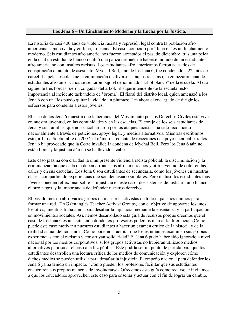#### **Los Jena 6 – Un Linchamiento Moderno y la Lucha por la Justicia.**

La historia de casi 400 años de violencia racista y represión legal contra la población afro americana sigue viva hoy en Jena, Lousiana. El caso, conocido por "Jena 6," es un linchamiento moderno. Seis estudiantes afro americanos fueron arrestados el pasado diciembre, tras una pelea en la cual un estudiante blanco recibió una paliza después de haberse mofado de un estudiante afro americano con insultos racistas. Los estudiantes afro americanos fueron acusados de conspiración e intento de asesinato. Mychal Bell, uno de los Jena 6, fue condenado a 22 años de cárcel. La pelea escolar fue la culminación de diversos ataques racistas que empezaron cuando estudiantes afro americanos se sentaron bajo el denominado "árbol blanco" de la escuela. Al día siguiente tres horcas fueron colgadas del árbol. El superintendente de la escuela restó importancia al incidente tachándolo de "broma". El fiscal del distrito local, quien amenazó a los Jena 6 con un "les puedo quitar la vida de un plumazo," es ahora el encargado de dirigir los esfuerzos para condenar a estos jóvenes.

El caso de los Jena 6 muestra que la herencia del Movimiento por los Derechos Civiles está viva en nuestra juventud, en las comunidades y en las escuelas. El coraje de los seis estudiantes de Jena, y sus familias, que no se acobardaron por los ataques racistas, ha sido reconocido nacionalmente a través de peticiones, apoyo legal, y medios alternativos. Mientras escribimos esto, a 14 de Septiembre de 2007, el número creciente de reacciones de apoyo nacional para los Jena 6 ha provocado que la Corte invalide la condena de Mychal Bell. Pero los Jena 6 aún no están libres y la justicia aún no se ha llevado a cabo.

Este caso plasma con claridad la omnipresente violencia racista policial, la discriminación y la criminalización que cada día deben afrontar los afro americanos y otra juventud de color en las calles y en sus escuelas. Los Jena 6 son estudiantes de secundaria, como los jóvenes en nuestras clases, compartiendo experiencias que son demasiado similares. Pero incluso los estudiantes más jóvenes pueden reflexionar sobre la injusticia en este caso: dos sistemas de justicia - uno blanco, el otro negro, y la importancia de defender nuestros derechos.

El pasado mes de abril varios grupos de maestros activistas de todo el país nos unimos para formar una red, TAG (en inglés Teacher Activist Groups) con el objetivo de apoyarse los unos a los otros, mientras trabajamos para desafiar la injusticia mediante la enseñanza y la participación en movimientos sociales. Así, hemos desarrollado esta guía de recursos porque creemos que el caso de los Jena 6 es una situación donde los profesores podemos marcar la diferencia. ¿Cómo puede este caso motivar a nuestros estudiantes a hacer un examen crítico de la historia y de la realidad actual del racismo? ¿Cómo podemos facilitar que los estudiantes examinen sus propias experiencias con el racismo y construyan solidaridad? El Jena 6 pudo haber sido ignorado a nivel nacional por los medios corporativos, si los grupos activistas no hubieran utilizado medios alternativos para sacar el caso a la luz pública. Este podría ser un punto de partida para que los estudiantes desarrollen una lectura crítica de los medios de comunicación y exploren cómo dichos medios se pueden utilizar para desafiar la injusticia. El empeño nacional para defender los Jena 6 ya ha tenido un impacto. ¿Cómo pueden los profesores facilitar que sus estudiantes encuentren sus propias maneras de involucrarse? Ofrecemos este guía como recurso, e invitamos a que los educadores aprovechen este caso para enseñar y actuar con el fin de lograr un cambio.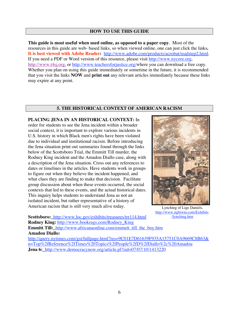#### **HOW TO USE THIS GUIDE**

**This guide is most useful when used online, as opposed to a paper copy**. Most of the resources in this guide are web- based links, so when viewed online, one can just click the links**. It is best viewed with Adobe Reader:** http://www.adobe.com/products/acrobat/readstep2.html. If you need a PDF or Word version of this resource, please visit http://www.nycore.org, http://www.t4sj.org, or http://www.teachersforjustice.org/where you can download a free copy. Whether you plan on using this guide immediately or sometime in the future, it is recommended that you visit the links **NOW** and **print out** any relevant articles immediately because these links may expire at any point.

#### **5. THE HISTORICAL CONTEXT OF AMERICAN RACISM**

**PLACING JENA IN AN HISTORICAL CONTEXT:** In order for students to see the Jena incident within a broader social context, it is important to explore various incidents in U.S. history in which Black men's rights have been violated due to individual and institutional racism. Before introducing the Jena situation print out summaries found through the links below of the Scottsboro Trial, the Emmitt Till murder, the Rodney King incident and the Amadou Diallo case, along with a description of the Jena situation. Cross out any references to dates or timelines in the articles. Have students work in groups to figure out when they believe the incident happened, and what clues they are finding to make that decision. Facilitate group discussion about when these events occurred, the social contexts that led to these events, and the actual historical dates. This inquiry helps students to understand Jena as not an isolated incident, but rather representative of a history of American racism that is still very much alive today.



Lynching of Lige Daniels, http://www.ngbiwm.com/Exhibits /lynching.htm

**Scottsboro:\_**http://www.loc.gov/exhibits/treasures/trr114.html **Rodney King:** http://www.bookrags.com/Rodney\_King **Emmitt Till:\_**http://www.africanaonline.com/emmett\_till\_the\_boy.htm **Amadou Diallo:**

http://query.nytimes.com/gst/fullpage.html?res=9C01E7D61639F935A15751C0A9669C8B63& n=Top%2fReference%2fTimes%20Topics%2fPeople%2fD%2fDiallo%2c%20Amadou **Jena 6:\_**http://www.democracynow.org/article.pl?sid=07/07/10/1413220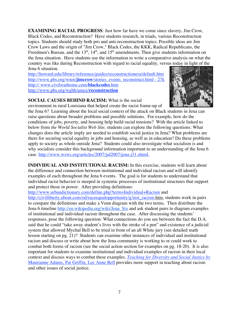**EXAMINING RACIAL PROGRESS**: Just how far have we come since slavery, Jim Crow, Black Codes, and Reconstruction? Have students research, in triads, various Reconstruction topics. Students should study both pro and anti-reconstruction topics. Possible ideas are Jim Crow Laws and the origin of "Jim Crow," Black Codes, the KKK, Radical Republicans, the Freedmen's Bureau, and the  $13<sup>th</sup>$ ,  $14<sup>th</sup>$ , and  $15<sup>th</sup>$  amendments. Then give students information on the Jena situation. Have students use the information to write a comparative analysis on what the country was like during Reconstruction with regard to racial equality, versus today in light of the Jena 6 situation.

http://howard.edu/library/reference/guides/reconstructionera/default.htm http://www.pbs.org/wnet/**jimcrow**/stories\_events\_reconstruct.html - 27k http:// www.civilwarhome.com/**blackcodes**.htm http://www.pbs.org/wgbh/amex/**reconstruction**



#### **SOCIAL CAUSES BEHIND RACISM:** What is the social

environment in rural Louisiana that helped create the racist frame-up of

the Jena 6? Learning about the local social context of the attack on Black students in Jena can raise questions about broader problems and possible solutions. For example, how do the conditions of jobs, poverty, and housing help build racial tensions? With the article linked to below from *the World Socialist Web Site,* students can explore the following questions: What changes does the article imply are needed to establish social justice in Jena? What problems are there for securing social equality in jobs and housing, as well as in education? Do these problems apply to society as whole outside Jena? Students could also investigate what socialism is and why socialists consider this background information important to an understanding of the Jena 6 case. http://www.wsws.org/articles/2007/jul2007/jena-j31.shtml.

**INDIVIDUAL AND INSTITUTIONAL RACISM:** In this exercise, students will learn about the difference and connection between institutional and individual racism and will identify examples of each throughout the Jena 6 events. The goal is for students to understand that individual racist behavior is steeped in systemic processes of institutional structures that support and protect those in power. After providing definitions:

http://www.urbandictionary.com/define.php?term=Individual+Racism and

http://civilliberty.about.com/od/raceequalopportunity/g/inst\_racism.htm, students work in pairs to compare the definitions and make a Venn diagram with the two terms. Then distribute the Jena 6 timeline http://en.wikipedia.org/wiki/Jena\_Six and ask student pairs to diagram examples of institutional and individual racism throughout the case. After discussing the students' responses, pose the following question: What connections do you see between the fact the D.A. said that he could "take away student's lives with the stroke of a pen" and existence of a judicial system that allowed Mychal Bell to be tried in front of an all White jury (see detailed math lesson starting on pg. 21)? Students can examine other instances of individual and institutional racism and discuss or write about how the Jena community is working to or could work to combat both forms of racism (see the social action section for examples on pg. 18-20). It is also important for students to examine institutional and individual examples of racism in their local context and discuss ways to combat these examples. *Teaching for Diversity and Social Justice by* Maurianne Adams, Pat Griffin, Lee Anne Bell provides more support in teaching about racism and other issues of social justice.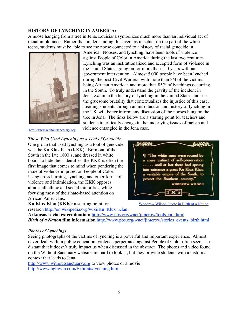#### **HISTORY OF LYNCHING IN AMERICA:**

A noose hanging from a tree in Jena, Louisiana symbolizes much more than an individual act of racial intolerance. Rather than understanding this event as mischief on the part of the white teens, students must be able to see the noose connected to a history of racial genocide in



America. Nooses, and lynching, have been tools of violence against People of Color in America during the last two centuries. Lynching was an institutionalized and accepted form of violence in the United States, going on for more than 150 years without government intervention. Almost 5,000 people have been lynched during the post-Civil War era, with more than 3/4 of the victims being African American and more than 85% of lynchings occurring in the South. To truly understand the gravity of the incident in Jena, examine the history of lynching in the United States and see the gruesome brutality that contextualizes the injustice of this case. Leading students through an introduction and history of lynching in the US, will better inform any discussion of the nooses hung on the tree in Jena. The links below are a starting point for teachers and students to critically engage in the underlying issues of racism and violence entangled in the Jena case.

http://www.withoutsanctuary.org

#### *Those Who Used Lynching as a Tool of Genocide*

One group that used lynching as a tool of genocide was the Ku Klux Klan (KKK). Born out of the South in the late 1800's, and dressed in white hoods to hide their identities, the KKK is often the first image that comes to mind when pondering the issue of violence imposed on People of Color. Using cross burning, lynching, and other forms of violence and intimidation, the KKK opposes almost all ethnic and social minorities, while focusing most of their hate-based attention on African Americans.

**Ku Klux Klan (KKK**): a starting point for research http://en.wikipedia.org/wiki/Ku\_Klux\_Klan



Woodrow Wilson Quote in Birth of a Nation

**Arkansas racial extermination:** http://www.pbs.org/wnet/jimcrow/tools\_riot.html *Birth of a Nation* **film information** http://www.pbs.org/wnet/jimcrow/stories\_events\_birth.html

#### *Photos of Lynchings*

Seeing photographs of the victims of lynching is a powerful and important experience. Almost never dealt with in public education, violence perpetrated against People of Color often seems so distant that it doesn't truly impact us when discussed in the abstract. The photos and video found on the Without Sanctuary website are hard to look at, but they provide students with a historical context that leads to Jena.

http://www.withoutsanctuary.org to view photos or a movie http://www.ngbiwm.com/Exhibits/lynching.htm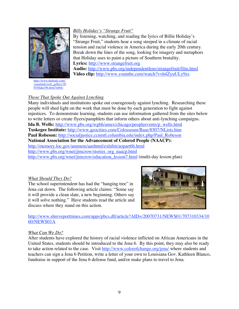

http://www.thebody.com/ visualaids/web\_gallery/20 05/blake/06.html?m84o

#### *Billy Holiday's "Strange Fruit"*

By listening, watching, and reading the lyrics of Billie Holiday's "Strange Fruit," students hear a song steeped in a climate of racial tension and racial violence in America during the early 20th century. Break down the lines of the song, looking for imagery and metaphors that Holiday uses to paint a picture of Southern brutality. **Lyrics:** http://www.strangefruit.org

**Audio:** http://www.pbs.org/independentlens/strangefruit/film.html **Video clip:** http://www.youtube.com/watch?v=h4ZyuULy9zs

#### *Those That Spoke Out Against Lynching*

Many individuals and institutions spoke out courageously against lynching. Researching these people will shed light on the work that must be done by each generation to fight against injustices. To demonstrate learning, students can use information gathered from the sites below to write letters or create flyers/pamphlets that inform others about anti-lynching campaigns. **Ida B. Wells:** http://www.pbs.org/wgbh/amex/chicago/peopleevents/p\_wells.html **Tuskegee Institute:** http://www.geocities.com/Colosseum/Base/8507/NLists.htm Paul Robeson: http://socialjustice.ccnmtl.columbia.edu/index.php/Paul Robeson **National Association for the Advancement of Colored People (NAACP):** http://memory.loc.gov/ammem/aaohtml/exhibit/aopart6b.html http://www.pbs.org/wnet/jimcrow/stories\_org\_naacp.html http://www.pbs.org/wnet/jimcrow/education\_lesson7.html (multi-day lesson plan)

#### *What Should They Do?*

The school superintendent has had the "hanging tree" in Jena cut down. The following article claims: "Some say it will provide a clean slate, a new beginning. Others say it will solve nothing." Have students read the article and discuss where they stand on this action.



#### http://www.shreveporttimes.com/apps/pbcs.dll/article?AID=/20070731/NEWS01/707310334/10 60/NEWS01A

#### *What Can We Do?*

After students have explored the history of racial violence inflicted on African Americans in the United States, students should be introduced to the Jena 6. By this point, they may also be ready to take action related to the case. Visit http://www.colorofchange.org/jena/ where students and teachers can sign a Jena 6 Petition, write a letter of your own to Louisiana Gov. Kathleen Blanco, fundraise in support of the Jena 6 defense fund, and/or make plans to travel to Jena.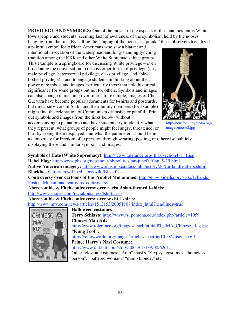**PRIVILEGE AND SYMBOLS:** One of the most striking aspects of the Jena incident is White townspeople and students' seeming lack of awareness of the symbolism held by the nooses hanging from the tree. By calling the hanging of the nooses a "prank," these observers trivialized

a painful symbol for African Americans who saw a blatant and intentional invocation of the widespread and long-standing lynching tradition among the KKK and other White Supremacist hate groups. This example is a springboard for discussing White privilege—even broadening the conversation to discuss other forms of privilege (i.e., male privilege, heterosexual privilege, class privilege, and ablebodied privilege)—and to engage students in thinking about the power of symbols and images, particularly those that hold historical significance for some groups but not for others. Symbols and images can also change in meaning over time—for example, images of Che Guevara have become popular adornments for t-shirts and postcards, but direct survivors of Stalin and their family members (for example) might find the celebration of Communism offensive or painful. Print out symbols and images from the links below (without

accompanying explanations) and have students try to identify what they represent, what groups of people might feel angry, threatened, or hurt by seeing them displayed, and what the parameters should be in



http://houston.indymedia.org/ images/noose2.jpg

a democracy for freedom of expression through wearing, posting, or otherwise publicly displaying these and similar symbols and images.

#### **Symbols of Hate (White Supremacy):** http://www.tolerance.org/rthas/section4 1 1.jsp

**Rebel Flag:** http://www.pbs.org/newshour/bb/politics/jan-june00/flag\_5-29.html Native American imagery: http://www.mhs.mb.ca/docs/mb\_history/26/fluffandfeathers.shtml **Blackface:** http://en.wikipedia.org/wiki/Blackface Controversy over cartoons of the Prophet Mohammed: http://en.wikipedia.org/wiki/Jyllands-Posten\_Muhammad\_cartoons\_controversy

**Abercrombie & Fitch controversy over racist Asian-themed t-shirts**: http://www.snopes.com/racial/business/tshirts.asp

Abercrombie & Fitch controversy over sexist t-shirts:

http://www.mtv.com/news/articles/1513153/20051107/index.jhtml?headlines=true



**Halloween costumes Terry Schiavo:** http://www.tsl.pomona.edu/index.php?article=1059 **Chinese Man Kit:** http://www.tolerance.org/images/teach/pt/iia/PT\_IMA\_Chinese\_Reg.jpg **"Kung Fool":** http://yellowworld.org/images/articles/specific/10\_02/disguise.gif **Prince Harry's Nazi Costume:** http://www.talkleft.com/story/2005/01/13/908/62611 Other relevant costumes: "Arab" masks, "Gypsy" costumes, "homeless person", "battered woman," "dumb blonde," etc.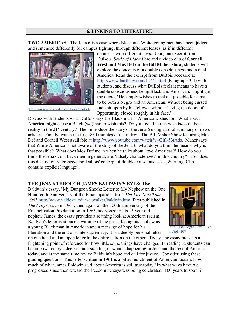#### **6. LINKING TO LITERATURE**

**TWO AMERICAS:** The Jena 6 is a case where Black and White young men have been judged and sentenced differently for campus fighting, through different lenses, as if in different



http://www.purdue.edu/bcc/library/books.h

countries with different laws. Using an excerpt from DuBois' *Souls of Black Folk* and a video clip of **Cornell West and Mos Def on the Bill Maher show**, students will explore the concepts of a double consciousness and a dual America. Read the excerpt from DuBois accessed at http://www.bartleby.com/114/1.html (Paragraph 3-4) with students, and discuss what DuBois feels it means to have a double consciousness being Black and American. Highlight the quote, "He simply wishes to make it possible for a man to be both a Negro and an American, without being cursed and spit upon by his fellows, without having the doors of Opportunity closed roughly in his face."

Discuss with students what DuBois says the Black man in America wishes for. What about America might cause a Black (wo)man to wish this? Do you feel that this wish is/could be a reality in the 21<sup>st</sup> century? Then introduce the story of the Jena 6 using an oral summary or news articles. Finally, watch the first 3:30 minutes of a clip from The Bill Maher Show featuring Mos Def and Cornell West available at http://www.youtube.com/watch?v=Glfl-53tAds. Maher says that White America is not aware of the story of the Jena 6, what do you think he means, why is that possible? What does Mos Def mean when he talks about "two Americas?" How do you think the Jena 6, or Black men in general, are "falsely characterized" in this country? How does this discussion reference/echo Dubois' concept of double consciousness? (Warning: Clip contains explicit language).

#### **THE JENA 6 THROUGH JAMES BALDWIN'S EYES:** Use

Baldwin's essay, "My Dungeon Shook: Letter to My Nephew on the One Hundredth Anniversary of the Emancipation" from *The Fire Next Time*, 1963 http://www.valdosta.edu/~cawalker/baldwin.htm. First published in *The Progressive* in 1961, then again on the 100th anniversary of the Emancipation Proclamation in 1963, addressed to his 15 year old nephew James, the essay provides a scathing look at American racism. Baldwin's letter is at once a warning of the perils facing his nephew as a young Black man in American and a message of hope for his liberation and the end of white supremacy. It is a deeply personal letter



http://jonkeegan.com/illo.p  $hn?id=107$ 

on one hand and an open letter to the entire nation on the other. Today, the essay presents a frightening point of reference for how little some things have changed. In reading it, students can be empowered by a deeper understanding of what is happening in Jena and the rest of America today, and at the same time revive Baldwin's hope and call for justice. Consider using these guiding questions: This letter written in 1961 is a bitter indictment of American racism. How much of what James Baldwin said about America is still true today? In what ways have we progressed since then toward the freedom he says was being celebrated "100 years to soon"?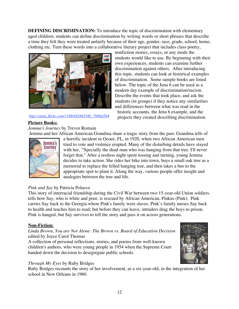**DEFINING DISCRIMINATION:** To introduce the topic of discrimination with elementary aged children, students can define discrimination by writing words or short phrases that describe a time they felt they were treated unfairly because of their age, gender, race, grade, school, home, clothing etc. Turn these words into a collaborative literary project that includes class poetry,



#### *http://static.flickr.com/1188/682845540\_7988ef5b4*

nonfiction stories, essays, or any mode the students would like to use. By beginning with their own experiences, students can examine further discrimination against others. After introducing this topic, students can look at historical examples of discrimination. Some sample books are listed below. The topic of the Jena 6 can be used as a modern day example of discrimination/racism. Describe the events that took place, and ask the students (in groups) if they notice any similarities and differences between what was read in the historic accounts, the Jena 6 example, and the

projects they created describing discrimination.

#### *3.jpg* **Picture Books:**

*Jemma's Journey* by Trevor Romain

Jemma and her African American Grandma share a tragic story from the past. Grandma tells of



a horrific incident in Ocoee, FL, in 1920, when two African American men tried to vote and violence erupted. Many of the disturbing details have stayed with her, "'Specially the dead man who was hanging from that tree. I'll never forget that." After a restless night spent tossing and turning, young Jemma decides to take action. She rides her bike into town, buys a small oak tree as a memorial to replace the felled hanging tree, and then takes a bus to the appropriate spot to plant it. Along the way, various people offer insight and analogies between the tree and life.

#### *Pink and Say* by Patricia Polacco

This story of interracial friendship during the Civil War between two 15-year-old Union soldiers. tells how Say, who is white and poor, is rescued by African American, Pinkus (Pink). Pink carries Say back to the Georgia where Pink's family were slaves. Pink's family nurses Say back to health and teaches him to read; but before they can leave, intruders drag the boys to prison. Pink is hanged, but Say survives to tell the story and pass it on across generations.

#### **Non-Fiction:**

#### *Linda Brown, You are Not Alone: The Brown vs. Board of Education Decision* edited by Joyce Carol Thomas

A collection of personal reflections, stories, and poems from well-known children's authors, who were young people in 1954 when the Supreme Court handed down the decision to desegregate public schools.

#### *Through My Eyes* by Ruby Bridges

Ruby Bridges recounts the story of her involvement, as a six-year-old, in the integration of her school in New Orleans in 1960.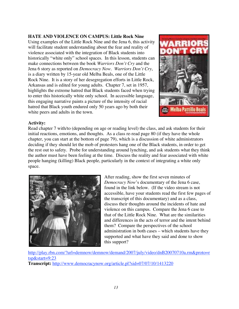#### **HATE AND VIOLENCE ON CAMPUS: Little Rock Nine**

Using examples of the Little Rock Nine and the Jena 6, this activity will facilitate student understanding about the fear and reality of violence associated with the integration of Black students into historically "white only" school spaces. In this lesson, students can make connections between the book *Warriors Don't Cry* and the Jena 6 story as reported on *Democracy Now. Warriors Don't Cry*, is a diary written by 15-year old Melba Beals, one of the Little Rock Nine. It is a story of her desegregation efforts in Little Rock, Arkansas and is edited for young adults. Chapter 7, set in 1957, highlights the extreme hatred that Black students faced when trying to enter this historically white only school. In accessible language, this engaging narrative paints a picture of the intensity of racial hatred that Black youth endured only 50 years ago by both their white peers and adults in the town.



#### **Activity:**

Read chapter 7 with/to (depending on age or reading level) the class, and ask students for their initial reactions, emotions, and thoughts. As a class re-read page 80 (if they have the whole chapter, you can start at the bottom of page 79), which is a discussion of white administrators deciding if they should let the mob of protesters hang one of the Black students, in order to get the rest out to safety. Probe for understanding around lynching, and ask students what they think the author must have been feeling at the time. Discuss the reality and fear associated with white people hanging (killing) Black people, particularly in the context of integrating a white only space.



After reading, show the first seven minutes of *Democracy Now*'s documentary of the Jena 6 case, found in the link below. (If the video stream is not accessible, have your students read the first few pages of the transcript of this documentary) and as a class, discuss their thoughts around the incidents of hate and violence on this campus. Compare the Jena 6 case to that of the Little Rock Nine. What are the similarities and differences in the acts of terror and the intent behind them? Compare the perspectives of the school administration in both cases – which students have they supported and what have they said and done to show this support?

http://play.rbn.com/?url=demnow/demnow/demand/2007/july/video/dnB20070710a.rm&proto=r tsp&start=9:23 **Transcript:** http://www.democracynow.org/article.pl?sid=07/07/10/1413220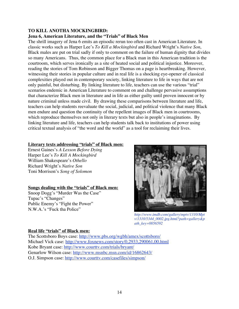#### **TO KILL ANOTHA MOCKINGBIRD:**

#### **Jena 6, American Literature, and the "Trials" of Black Men**

The shrill imagery of Jena 6 emits an episodic rerun too often cast in American Literature. In classic works such as Harper Lee's *To Kill a Mockingbird* and Richard Wright's *Native Son*, Black males are put on trial sadly if only to comment on the failure of human dignity that divides so many Americans. Thus, the common place for a Black man in this American tradition is the courtroom, which serves ironically as a site of heated social and political injustice. Moreover, reading the stories of Tom Robinson and Bigger Thomas on a page is heartbreaking. However, witnessing their stories in popular culture and in real life is a shocking eye-opener of classical complexities played out in contemporary society, linking literature to life in ways that are not only painful, but disturbing. By linking literature to life, teachers can use the various "trial" scenarios endemic in American Literature to comment on and challenge pervasive assumptions that characterize Black men in literature and in life as either guilty until proven innocent or by nature criminal unless made civil. By drawing these comparisons between literature and life, teachers can help students reevaluate the social, judicial, and political violence that many Black men endure and question the continuity of the repellent images of Black men in courtrooms, which reproduce themselves not only in literary texts but also in people's imaginations. By linking literature and life, teachers can help students talk back to institutions of power using critical textual analysis of "the word and the world" as a tool for reclaiming their lives.

#### **Literary texts addressing "trials" of Black men:**

Ernest Gaines's *A Lesson Before Dying* Harper Lee's *To Kill A Mockingbird* William Shakespeare's *Othello* Richard Wright's *Native Son* Toni Morrison's *Song of Solomon*

#### **Songs dealing with the "trials" of Black men:**

Snoop Dogg's "Murder Was the Case" Tupac's "Changes" Public Enemy's "Fight the Power" N.W.A.'s "Fuck tha Police"



*http://www.imdb.com/gallery/mptv/1310/Mpt v/1310/5344\_0002.jpg.html?path=gallery&p ath\_key=0056592*

#### **Real life "trials" of Black men:**

The Scottsboro Boys case: http://www.pbs.org/wgbh/amex/scottsboro/ Michael Vick case: http://www.foxnews.com/story/0,2933,290061,00.html Kobe Bryant case: http://www.courttv.com/trials/bryant/ Genarlow Wilson case: http://www.msnbc.msn.com/id/16862643/ O.J. Simpson case: http://www.courttv.com/casefiles/simpson/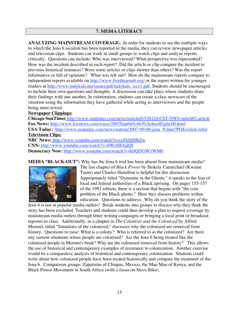#### **7. MEDIA LITERACY**

**ANALYZING MAINSTREAM COVERAGE:** In order for students to see the multiple ways in which the Jena 6 incident has been reported in the media, they can review newspaper articles and television clips. Students can work in small groups to watch clips and analyze reports critically. Questions can include: Who was interviewed? What perspective was represented? How was the incident described in each report? Did the article or clip compare the incident to previous historical instances? Were some articles or clips shorter than others? Was the report informative or full of opinions? What was left out? How do the mainstream reports compare to independent reports available on http://www.freethejena6.org/ or the report written for younger readers at http://www.indykids.net/issues/pdf/indykids\_iss11.pdf. Students should be encouraged to include their own questions and thoughts. A discussion can take place where students share their findings with one another. In culmination, students can create a class newscast of the situation using the information they have gathered while acting as interviewers and the people being interviewed.

#### **Newspaper Clippings:**

**Chicago SunTimes** http://www.suntimes.com/news/mitchell/538124,CST-NWS-mitch02.article **Fox News:** http://www.foxnews.com/wires/2007Sep04/0,4670,SchoolFight,00.html **USA Today:** http://www.usatoday.com/news/nation/2007-09-06-jena\_N.htm?POE=click-refer **Television Clips: NBC News:** http://www.youtube.com/watch?v=yeFkIj8HbZw

**CNN:** http://www.youtube.com/watch?v=8Ws8IEfqIQI **Democracy Now:** http://www.youtube.com/watch?v=kbQf5GW1WM0

**MEDIA "BLACK-OUT":** Why has the Jena 6 trial has been absent from mainstream media?



The last chapter of *Black Power* by Stokely Carmichael (Kwame Toure) and Charles Hamilton is helpful for this discussion. Appropriately titled "Dynamite in the Ghetto," it speaks to the fear of local and federal authorities of a Black uprising. On pages 155-157 of the 1992 edition, there is a section that begins with "the core problem of the Black ghetto." Here they discuss problems within education. Questions to address: Why do you think the story of the

Jena 6 is not in popular media outlets? Break students into groups to discuss why they think the story has been excluded. Teachers and students could then develop a plan to request coverage by mainstream media outlets through letter writing campaigns or bringing a local print or broadcast reporter to class. Additionally, in a chapter in *The Colonizer and the Colonized* by Alfred Memmi, titled "Situations of the colonized," discusses why the colonized are removed from history. Questions to raise: What is a colony? Who is referred to as the colonized? Are there any current situations where people are colonized? Are the Jena 6 being treated like the colonized people in Memmi's book? Why are the colonized removed from history? This allows the use of historical and contemporary examples of resistance to colonization. Another exercise would be a comparative analysis of historical and contemporary colonization. Students could write about how colonized people have been treated historically and compare the treatment of the Jena 6. Comparison groups: Zapatistas of Chiapas, Mexico, the Mau Mau of Kenya, and the Black Power Movement in South Africa (with a focus on Steve Biko).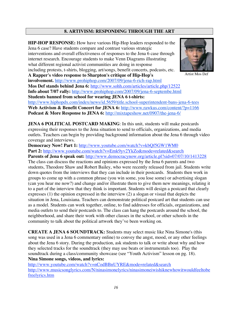#### **8. ARTIVISM: RESPONDING THROUGH THE ART**

**HIP-HOP RESPONSE:** How have various Hip-Hop leaders responded to the Jena 6 case? Have students compare and contrast various strategic interventions and overall effectiveness of responses to the Jena 6 case through internet research. Encourage students to make Venn Diagrams illustrating what different regional activist communities are doing in response including protests, t-shirts, blogging, art/songs, benefit concerts, podcasts, etc. **A Rapper's video response to Sharpton's critique of Hip-Hop's involvement.** http://www.prohiphop.com/2007/09/jena-6-rich-rap.html **Mos Def stands behind Jena 6:** http://www.sohh.com/articles/article.php/12522 **Info about 7/07 rally:** http://www.prohiphop.com/2007/09/jena-6-septembe.html **Students banned from school for wearing JENA 6 t-shirts:** http://www.hiphopdx.com/index/news/id.5659/title.school-superintendent-bans-jena-6-tees **Web Activism & Benefit Concert for JENA 6:** http://www.rawkus.com/content/?p=1166 **Podcast & More Response to JENA 6:** http://mixtapeshow.net/0907/the-jena-6/



Artist Mos Def

**JENA 6 POLITICAL POSTCARD MAKING**: In this unit, students will make postcards expressing their responses to the Jena situation to send to officials, organizations, and media outlets. Teachers can begin by providing background information about the Jena 6 through video coverage and interviews.

**Democracy Now! Part 1:** http://www.youtube.com/watch?v=kbQf5GW1WM0

Part 2: http://www.youtube.com/watch?v=Emk9yv2YkZo&mode=related&search

Parents of Jena 6 speak out: http://www.democracynow.org/article.pl?sid=07/07/10/1413228

The class can discuss the reactions and opinions expressed by the Jena 6 parents and two students, Theodore Shaw and Robert Bailey, who were recently released from jail. Students write down quotes from the interviews that they can include in their postcards. Students then work in groups to come up with a common phrase (you win some, you lose some) or advertising slogan (can you hear me now?) and change and/or illustrate them to give them new meanings, relating it to a part of the interview that they think is important. Students will design a postcard that clearly expresses (1) the opinion expressed in the interview (2) a slogan or visual that depicts the situation in Jena, Louisiana. Teachers can demonstrate political postcard art that students can use as a model. Students can work together, online, to find addresses for officials, organizations, and media outlets to send their postcards to. The class can hang the postcards around the school, the neighborhood, and share their work with other classes in the school, or other schools in the community to talk about the political artwork they've been working on.

**CREATE A JENA 6 SOUNDTRACK:** Students may select music like Nina Simone's (this song was used in a Jena 6 commentary online) to convey the angst, mood, or any other feelings about the Jena 6 story. During the production, ask students to talk or write about why and how they selected tracks for the soundtrack (they may use beats or instrumentals too). Play the soundtrack during a class/community showcase (see "Youth Activism" lesson on pg. 18). **Nina Simone songs, videos, and lyrics:**

http://www.youtube.com/watch?v=nCodBBnUYRE&mode=related&search http://www.musicsonglyrics.com/N/ninasimonelyrics/ninasimoneiwishiknewhowitwouldfeeltobe freelyrics.htm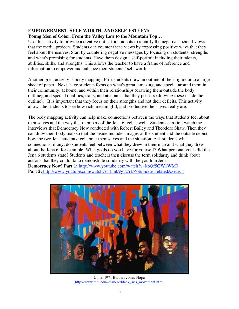#### **EMPOWERMENT, SELF-WORTH, AND SELF-ESTEEM:**

#### **Young Men of Color: From the Valley Low to the Mountain Top…**

Use this activity to provide a creative outlet for students to identify the negative societal views that the media projects. Students can counter these views by expressing positive ways that they feel about themselves. Start by countering negative messages by focusing on students' strengths and what's promising for students. Have them design a self-portrait including their talents, abilities, skills, and strengths. This allows the teacher to have a frame of reference and information to empower and enhance their students' self-worth.

Another great activity is body mapping. First students draw an outline of their figure onto a large sheet of paper. Next, have students focus on what's great, amazing, and special around them in their community, at home, and within their relationships (drawing them outside the body outline), and special qualities, traits, and attributes that they possess (drawing these inside the outline). It is important that they focus on their strengths and not their deficits. This activity allows the students to see how rich, meaningful, and productive their lives really are.

The body mapping activity can help make connections between the ways that students feel about themselves and the way that members of the Jena 6 feel as well. Students can first watch the interviews that Democracy Now conducted with Robert Bailey and Theodore Shaw. Then they can draw their body map so that the inside includes images of the student and the outside depicts how the two Jena students feel about themselves and the situation. Ask students what connections, if any, do students feel between what they drew in their map and what they drew about the Jena 6, for example: What goals do you have for yourself? What personal goals did the Jena 6 students state? Students and teachers then discuss the term solidarity and think about actions that they could do to demonstrate solidarity with the youth in Jena. **Democracy Now! Part 1:** http://www.youtube.com/watch?v=kbQf5GW1WM0 Part 2: http://www.youtube.com/watch?v=Emk9yv2YkZo&mode=related&search



Unite, 1971 Barbara Jones-Hogu http://www.tcnj.edu/~fisherc/black\_arts\_movement.html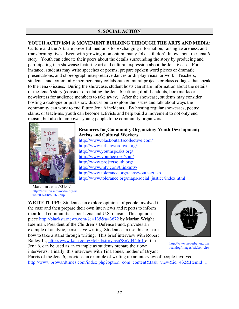#### **9. SOCIAL ACTION**

#### **YOUTH ACTIVISM & MOVEMENT BUILDING THROUGH THE ARTS AND MEDIA:**

Culture and the Arts are powerful mediums for exchanging information, raising awareness, and transforming lives. Even with growing momentum, many folks still don't know about the Jena 6 story. Youth can educate their peers about the details surrounding the story by producing and participating in a showcase featuring art and cultural expression about the Jena 6 case. For instance, students may write speeches or poems, prepare spoken word pieces or dramatic presentations, and choreograph interpretative dances or display visual artwork. Teachers, students, and community members may collaborate on mural projects or class collages that speak to the Jena 6 issues. During the showcase, student hosts can share information about the details of the Jena 6 story (consider circulating the Jena 6 petition; draft handouts, bookmarks or newsletters for audience members to take away). After the showcase, students may consider hosting a dialogue or post show discussion to explore the issues and talk about ways the community can work to end future Jena 6 incidents. By hosting regular showcases, poetry slams, or teach-ins, youth can become activists and help build a movement to not only end racism, but also to empower young people to be community organizers.



#### **Resources for Community Organizing; Youth Development; Artists and Cultural Workers** http://www.blackoutartscollective.com/ http://www.urbanwordnyc.org/

http://www.youthspeaks.org/ http://www.youthec.org/soul/ http://www.projectsouth.org/ http://www.mtv.com/thinkmtv/ http://www.tolerance.org/teens/youthact.jsp http://www.tolerance.org/maps/social\_justice/index.html

March in Jena 7/31/07 http://houston.indymedia.org/ne ws/2007/08/60163.php

**WRITE IT UP!:** Students can explore opinions of people involved in the case and then prepare their own interviews and reports to inform their local communities about Jena and U.S. racism. This opinion piece http://blackstarnews.com/?c=135&a=3672 by Marian Wright Edelman, President of the Children's Defense Fund, provides an example of analytic, persuasive writing. Students can use this to learn how to take a stand through writing. This brief interview with Robert Bailey Jr., http://www.katc.com/Global/story.asp?S=7044461 of the Jena 6, can be used as an example as students prepare their own interviews. Finally, this interview with Tina Jones, mother of Bryant



http://www.neverbetter.com /catalog/images/sticker\_circ

Purvis of the Jena 6, provides an example of writing up an interview of people involved. http://www.browardtimes.com/index.php?option=com\_content&task=view&id=432&Itemid=1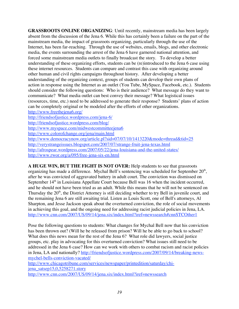**GRASSROOTS ONLINE ORGANIZING**: Until recently, mainstream media has been largely absent from the discussion of the Jena 6. While this has certainly been a failure on the part of the mainstream media, the impact of grassroots organizing, particularly through the use of the Internet, has been far-reaching. Through the use of websites, emails, blogs, and other electronic media, the events surrounding the arrest of the Jena 6 have garnered national attention, and forced some mainstream media outlets to finally broadcast the story. To develop a better understanding of these organizing efforts, students can be (re)introduced to the Jena 6 case using these internet resources. Students can compare and contrast this case with organizing around other human and civil rights campaigns throughout history. After developing a better understanding of the organizing context, groups of students can develop their own plans of action in response using the Internet as an outlet (You Tube, MySpace, Facebook, etc.). Students should consider the following questions: Who is their audience? What message do they want to communicate? What media outlet can best convey their message? What logistical issues (resources, time, etc.) need to be addressed to generate their response? Students' plans of action can be completely original or be modeled after the efforts of other organizations. http://www.freethejena6.org/ http://friendsofjustice.wordpress.com/jena-6/ http://friendsofjustice.wordpress.com/blog/

http://www.myspace.com/midwestcommitteejena6

http://www.colorofchange.org/jena/main.html

http://www.democracynow.org/article.pl?sid=07/07/10/1413220&mode=thread&tid=25 http://verystrangeissues.blogspot.com/2007/07/strange-fruit-jena-texas.html http://afrospear.wordpress.com/2007/05/22/jena-louisiana-and-the-united-states/ http://www.rwor.org/a/095/free-jena-six-en.html

**A HUGE WIN, BUT THE FIGHT IS NOT OVER:** Help students to see that grassroots organizing has made a difference. Mychal Bell's sentencing was scheduled for September  $20<sup>th</sup>$ , after he was convicted of aggravated battery in adult court. The conviction was dismissed on September  $14<sup>th</sup>$  in Louisiana Appellate Court because Bell was 16 when the incident occurred, and he should not have been tried as an adult. While this means that he will not be sentenced on Thursday the  $20<sup>th</sup>$ , the District Attorney is still deciding whether to try Bell in juvenile court, and the remaining Jena 6 are still awaiting trial. Listen as Louis Scott, one of Bell's attorneys, Al Sharpton, and Jesse Jackson speak about the overturned conviction, the role of social movements in achieving this goal, and the ongoing need for addressing racist judicial policies in Jena, LA. http://www.cnn.com/2007/US/09/14/jena.six/index.html?iref=newssearch#cnnSTCOther1

Pose the following questions to students: What changes for Mychal Bell now that his conviction has been thrown out? (Will he be released from prison? Will he be able to go back to school? What does this news mean for the rest of the Jena 6? What role did lawyers, social justice groups, etc. play in advocating for this overturned conviction? What issues still need to be addressed in the Jena 6 case? How can we work with others to combat racism and racist policies in Jena, LA and nationally? http://friendsofjustice.wordpress.com/2007/09/14/breaking-newsmychel-bells-conviction-vacated/

http://www.chicagotribune.com/services/newspaper/printedition/saturday/chijena\_satsep15,0,5258271.story

http://www.cnn.com/2007/US/09/14/jena.six/index.html?iref=newssearch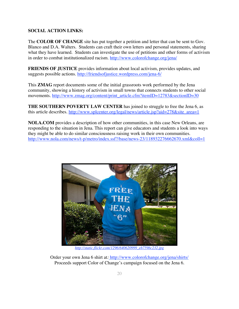#### **SOCIAL ACTION LINKS:**

The **COLOR OF CHANGE** site has put together a petition and letter that can be sent to Gov. Blanco and D.A. Walters. Students can craft their own letters and personal statements, sharing what they have learned. Students can investigate the use of petitions and other forms of activism in order to combat institutionalized racism. http://www.colorofchange.org/jena/

**FRIENDS OF JUSTICE** provides information about local activism, provides updates, and suggests possible actions. http://friendsofjustice.wordpress.com/jena-6/

This **ZMAG** report documents some of the initial grassroots work performed by the Jena community, showing a history of activism in small towns that connects students to other social movements. http://www.zmag.org/content/print\_article.cfm?itemID=12783&sectionID=30

**THE SOUTHERN POVERTY LAW CENTER** has joined to struggle to free the Jena 6, as this article describes. http://www.splcenter.org/legal/news/article.jsp?aid=278&site\_area=1

**NOLA.COM** provides a description of how other communities, in this case New Orleans, are responding to the situation in Jena. This report can give educators and students a look into ways they might be able to do similar consciousness raising work in their own communities. http://www.nola.com/news/t-p/metro/index.ssf?/base/news-23/118932276662670.xml&coll=1



*http://static.flickr.com/1296/640620999\_eb759bc232.jpg*

Order your own Jena 6 shirt at*:* http://www.colorofchange.org/jena/shirts/ Proceeds support Color of Change's campaign focused on the Jena 6.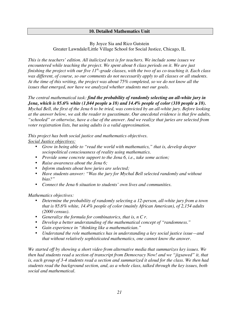#### **10. Detailed Mathematics Unit**

#### By Joyce Sia and Rico Gutstein Greater Lawndale/Little Village School for Social Justice, Chicago, IL

*This is the teachers' edition. All italicized text is for teachers. We include some issues we encountered while teaching the project. We spent about 8 class periods on it. We are just finishing the project with our five 11<sup>th</sup>-grade classes, with the two of us co-teaching it. Each class was different, of course, so our comments do not necessarily apply to all classes or all students. At the time of this writing, the project was about 75% completed, so we do not know all the issues that emerged, nor have we analyzed whether students met our goals.*

#### *The central mathematical task: find the probability of randomly selecting an all-white jury in Jena, which is 85.6% white (1,844 people*  $\geq 18$ *) and 14.4% people of color (310 people*  $\geq 18$ *).*

*Mychal Bell, the first of the Jena 6 to be tried, was convicted by an all-white jury. Before looking at the answer below, we ask the reader to guesstimate. Our anecdotal evidence is that few adults, "schooled" or otherwise, have a clue of the answer. And we realize that juries are selected from voter registration lists, but using adults is a valid approximation.*

#### *This project has both social justice and mathematics objectives.*

*Social Justice objectives:*

- *Grow in being able to "read the world with mathematics," that is, develop deeper sociopolitical consciousness of reality using mathematics.*
- *Provide some concrete support to the Jena 6, i.e., take some action;*
- *Raise awareness about the Jena 6;*
- *Inform students about how juries are selected;*
- *Have students answer: "Was the jury for Mychal Bell selected randomly and without bias?"*
- *Connect the Jena 6 situation to students' own lives and communities.*

*Mathematics objectives:*

- *Determine the probability of randomly selecting a 12-person, all-white jury from a town that is 85.6% white, 14.4% people of color (mainly African American), of 2,154 adults (2000 census).*
- *Generalize the formula for combinatorics, that is, n C r.*
- *Develop a better understanding of the mathematical concept of "randomness."*
- *Gain experience in "thinking like a mathematician."*
- *Understand the role mathematics has in understanding a key social justice issue—and that without relatively sophisticated mathematics, one cannot know the answer.*

*We started off by showing a short video from alternative media that summarizes key issues. We then had students read a section of transcript from Democracy Now! and we "jigsawed" it, that is, each group of 3-4 students read a section and summarized it aloud for the class. We then had students read the background section, and, as a whole class, talked through the key issues, both social and mathematical.*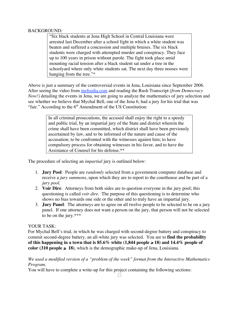#### BACKGROUND:

"Six black students at Jena High School in Central Louisiana were arrested last December after a school fight in which a white student was beaten and suffered a concussion and multiple bruises. The six black students were charged with attempted murder and conspiracy. They face up to 100 years in prison without parole. The fight took place amid mounting racial tension after a black student sat under a tree in the schoolyard where only white students sat. The next day three nooses were hanging from the tree."\*

Above is just a summary of the controversial events in Jena, Louisiana since September 2006. After seeing the video from mefeedia.com and reading the Rush Transcript *(from Democracy Now!*) detailing the events in Jena, we are going to analyze the mathematics of jury selection and see whether we believe that Mychal Bell, one of the Jena 6, had a jury for his trial that was "fair." According to the  $6<sup>th</sup>$  Amendment of the US Constitution:

> In all criminal prosecutions, the accused shall enjoy the right to a speedy and public trial, by an impartial jury of the State and district wherein the crime shall have been committed, which district shall have been previously ascertained by law, and to be informed of the nature and cause of the accusation; to be confronted with the witnesses against him; to have compulsory process for obtaining witnesses in his favor, and to have the Assistance of Counsel for his defense.\*\*

The procedure of selecting an *impartial* jury is outlined below:

- 1. **Jury Pool**: People are *randomly* selected from a government computer database and receive a *jury summons*, upon which they are to report to the courthouse and be part of a *jury pool*.
- 2. **Voir Dire**: Attorneys from both sides are to question everyone in the jury pool; this questioning is called *voir dire*. The purpose of this questioning is to determine who shows no bias towards one side or the other and to truly have an impartial jury.
- 3. **Jury Panel**: The attorneys are to agree on all twelve people to be selected to be on a jury panel. If one attorney does not want a person on the jury, that person will not be selected to be on the jury.\*\*\*

#### YOUR TASK:

For Mychal Bell's trial, in which he was charged with second-degree battery and conspiracy to commit second-degree battery, an all-white jury was selected. You are to **find the probability of this happening in a town that is 85.6% white (1,844 people**  $\geq$  **18) and 14.4% people of color (310 people**  $\geq 18$ **), which is the demographic make-up of Jena, Louisiana.** 

*We used a modified version of a "problem of the week" format from the Interactive Mathematics Program.*

You will have to complete a write-up for this project containing the following sections: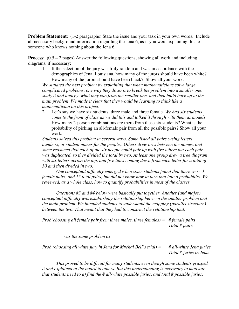**Problem Statement:** (1-2 paragraphs) State the issue and your task in your own words. Include all necessary background information regarding the Jena 6, as if you were explaining this to someone who knows nothing about the Jena 6.

**Process:**  $(0.5 - 2$  pages) Answer the following questions, showing all work and including diagrams, if necessary:

1. If the selection of the jury was truly random and was in accordance with the demographics of Jena, Louisiana, how many of the jurors should have been white? How many of the jurors should have been black? Show all your work.

*We situated the next problem by explaining that when mathematicians solve large, complicated problems, one way they do so is to break the problem into a smaller one, study it and analyze what they can from the smaller one, and then build back up to the main problem. We made it clear that they would be learning to think like a mathematician on this project.*

2. Let's say we have six students, three male and three female. *We had six students come to the front of class as we did this and talked it through with them as models.* How many 2-person combinations are there from these six students? What is the probability of picking an all-female pair from all the possible pairs? Show all your work.

*Students solved this problem in several ways. Some listed all pairs (using letters, numbers, or student names for the people). Others drew arcs between the names, and some reasoned that each of the six people could pair up with five others but each pair was duplicated, so they divided the total by two. At least one group drew a tree diagram with six letters across the top, and five lines coming down from each letter for a total of 30 and then divided in two.*

*One conceptual difficulty emerged when some students found that there were 3 female pairs, and 15 total pairs, but did not know how to turn that into a probability. We reviewed, as a whole class, how to quantify probabilities in most of the classes.*

*Questions #3 and #4 below were basically put together. Another (and major) conceptual difficulty was establishing the relationship between the smaller problem and the main problem. We intended students to understand the mapping (parallel structure) between the two. That meant that they had to construct the relationship that:*

*Prob(choosing all female pair from three males, three females) = # female pairs Total # pairs*

*was the same problem as:*

*Prob (choosing all white jury in Jena for Mychal Bell's trial) = # all-white Jena juries Total # juries in Jena*

*This proved to be difficult for many students, even though some students grasped it and explained at the board to others. But this understanding is necessary to motivate that students need to a) find the # all-white possible juries, and total # possible juries,*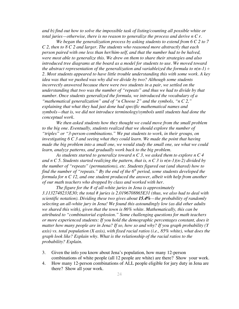*and b) find out how to solve the impossible task of listing/counting all possible white or total juries—otherwise, there is no reason to generalize the process and derive n C r.*

*We began the generalization process by asking students to extend from 6 C 2 to 7 C 2, then to 8 C 2 and larger. The students who reasoned more abstractly that each person paired with one less than her/him-self, and that the number had to be halved, were most able to generalize this. We drew on them to share their strategies and also introduced tree diagrams at the board as a model for students to use. We moved toward the abstract representation of the generalization and variableized the formula to n(n-1) ÷ 2. Most students appeared to have little trouble understanding this with some work. A key idea was that we pushed was why did we divide by two? Although some students incorrectly answered because there were two students in a pair, we settled on the understanding that two was the number of "repeats" and thus we had to divide by that number. Once students generalized the formula, we introduced the vocabulary of a "mathematical generalization" and of "n Choose 2" and the symbols, "n C 2," explaining that what they had just done had specific mathematical names and symbols—that is, we did not introduce terminology/symbols until students had done the conceptual work.*

*We then asked students how they thought we could move from the small problem to the big one. Eventually, students realized that we should explore the number of "triples" or "3-person-combinations." We put students to work, in their groups, on investigating 6 C 3 and seeing what they could learn. We made the point that having made the big problem into a small one, we would study the small one, see what we could learn, analyze patterns, and gradually work back to the big problem.*

*As students started to generalize toward n C 3, we asked them to explore n C 4 and n C 5. Students started realizing the pattern, that is, n C 3 is n(n-1)(n-2) divided by the number of "repeats" (permutations), etc. Students figured out (and shared) how to find the number of "repeats." By the end of the 6th period, some students developed the formula for n C 12, and one student produced the answer, albeit with help from another of our math teachers who dropped by class and worked with her.*

*The figure for the # of all-white juries in Jena is approximately 3.1132748233E30; the total # juries is 2.0196708865E31 (thus, we also had to deal with scientific notation). Dividing these two gives about 15.4%—the probability of randomly selecting an all-white jury in Jena! We found this astoundingly low (as did other adults we shared this with), given that the town is 86% white. Mathematically, this can be attributed to "combinatorial explosion." Some challenging questions for math teachers or more experienced students: If you hold the demographic percentages constant, does it matter how many people are in Jena? If so, how so and why? If you graph probability (Y axis) vs. total population (X axis), with fixed racial ratios (i.e., 85% white), what does the graph look like? Explain why. What is the relationship of the racial ratios to the probability? Explain.*

- 3. Given the info you know about Jena's population, how many 12-person combinations of white people (all 12 people are white) are there? Show your work.
- 4. How many 12-person combinations of ALL people eligible for jury duty in Jena are there? Show all your work.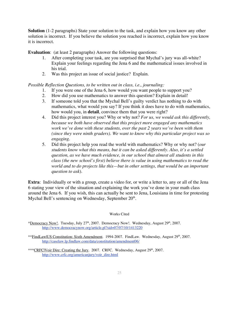**Solution** (1-2 paragraphs) State your solution to the task, and explain how you know any other solution is incorrect. If you believe the solution you reached is incorrect, explain how you know it is incorrect.

**Evaluation:** (at least 2 paragraphs) Answer the following questions:

- 1. After completing your task, are you surprised that Mychal's jury was all-white? Explain your feelings regarding the Jena 6 and the mathematical issues involved in his trial.
- 2. Was this project an issue of social justice? Explain.

*Possible Reflection Questions, to be written out in class, i.e., journaling:*

- 1. If you were one of the Jena 6, how would you want people to support you?
- 2. How did you use mathematics to answer this question? Explain in detail!
- 3. If someone told you that the Mychal Bell's guilty verdict has nothing to do with mathematics, what would you say? If you think it does have to do with mathematics, how would you, in **detail**, convince them that you were right?
- 4. Did this project interest you? Why or why not? *For us, we would ask this differently, because we both have observed that this project more engaged any mathematics work we've done with these students, over the past 2 years we've been with them (since they were ninth graders). We want to know why this particular project was so engaging.*
- 5. Did this project help you read the world with mathematics? Why or why not? (*our students know what this means, but it can be asked differently. Also, it's a settled question, as we have much evidence, in our school that almost all students in this class (the new school's first) believe there is value in using mathematics to read the world and to do projects like this—but in other settings, that would be an important question to ask*).

**Extra**: Individually or with a group, create a video for, or write a letter to, any or all of the Jena 6 stating your view of the situation and explaining the work you've done in your math class around the Jena 6. If you wish, this can actually be sent to Jena, Louisiana in time for protesting Mychal Bell's sentencing on Wednesday, September  $20<sup>th</sup>$ .

Works Cited

\*Democracy Now!. Tuesday, July 27<sup>th</sup>, 2007. Democracy Now!. Wednesday, August 29<sup>th</sup>, 2007. http://www.democracynow.org/article.pl?sid=07/07/10/1413220

<sup>\*\*</sup>FindLawlUS Constitution: Sixth Amendment. 1994-2007. FindLaw. Wednesday, August 29<sup>th</sup>, 2007. http://caselaw.lp.findlaw.com/data/constitution/amendment06/

<sup>\*\*\*</sup>CRFC|Voir Dire: Creating the Jury. 2007. CRFC. Wednesday, August  $29<sup>th</sup>$ , 2007. http://www.crfc.org/americanjury/voir\_dire.html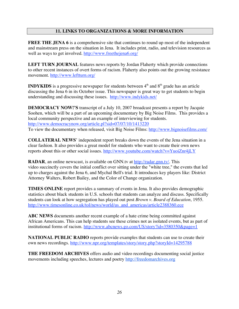#### **11. LINKS TO ORGANIZATIONS & MORE INFORMATION**

**FREE THE JENA 6** is a comprehensive site that continues to round up most of the independent and mainstream press on the situation in Jena. It includes print, radio, and television resources as well as ways to get involved. http://www.freethejena6.org/

**LEFT TURN JOURNAL** features news reports by Jordan Flaherty which provide connections to other recent instances of overt forms of racism. Flaherty also points out the growing resistance movement. http://www.leftturn.org/

**INDYKIDS** is a progressive newspaper for students between  $4<sup>th</sup>$  and  $8<sup>th</sup>$  grade has an article discussing the Jena 6 in its October issue. This newspaper is great way to get students to begin understanding and discussing these issues. http://www.indykids.net/

**DEMOCRACY NOW!'S** transcript of a July 10, 2007 broadcast presents a report by Jacquie Soohen, which will be a part of an upcoming documentary by Big Noise Films. This provides a local community perspective and an example of interviewing for students. http://www.democracynow.org/article.pl?sid=07/07/10/1413220 To view the documentary when released, visit Big Noise Films: http://www.bignoisefilms.com/

**COLLATERAL NEWS**' independent report breaks down the events of the Jena situation in a clear fashion. It also provides a great model for students who want to create their own news reports about this or other social issues. http://www.youtube.com/watch?v=YuoiZnr4jLY

**RADAR**, an online newscast, is available on GNN.tv at http://radar.gnn.tv/. This video succinctly covers the initial conflict over sitting under the "white tree," the events that led up to charges against the Jena 6, and Mychal Bell's trial. It introduces key players like: District Attorney Walters, Robert Bailey, and the Color of Change organization.

**TIMES ONLINE** report provides a summary of events in Jena. It also provides demographic statistics about black students in U.S. schools that students can analyze and discuss. Specifically students can look at how segregation has played out post *Brown v. Board of Education*, 1955. http://www.timesonline.co.uk/tol/news/world/us\_and\_americas/article2388360.ece

**ABC NEWS** documents another recent example of a hate crime being committed against African Americans. This can help students see these crimes not as isolated events, but as part of institutional forms of racism. http://www.abcnews.go.com/US/story?id=3580350&page=1

**NATIONAL PUBLIC RADIO** reports provide examples that students can use to create their own news recordings. http://www.npr.org/templates/story/story.php?storyId=14295788

**THE FREEDOM ARCHIVES** offers audio and video recordings documenting social justice movements including speeches, lectures and poetry http://freedomarchives.org